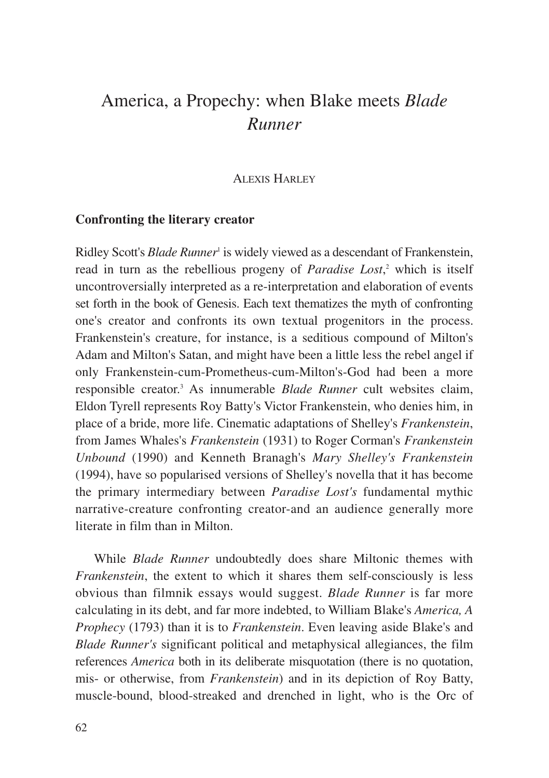# America, a Propechy: when Blake meets *Blade Runner*

ALEXIS HARLEY

#### **Confronting the literary creator**

Ridley Scott's *Blade Runner<sup>1</sup>* is widely viewed as a descendant of Frankenstein, read in turn as the rebellious progeny of *Paradise Lost*, <sup>2</sup> which is itself uncontroversially interpreted as a re-interpretation and elaboration of events set forth in the book of Genesis. Each text thematizes the myth of confronting one's creator and confronts its own textual progenitors in the process. Frankenstein's creature, for instance, is a seditious compound of Milton's Adam and Milton's Satan, and might have been a little less the rebel angel if only Frankenstein-cum-Prometheus-cum-Milton's-God had been a more responsible creator.3 As innumerable *Blade Runner* cult websites claim, Eldon Tyrell represents Roy Batty's Victor Frankenstein, who denies him, in place of a bride, more life. Cinematic adaptations of Shelley's *Frankenstein*, from James Whales's *Frankenstein* (1931) to Roger Corman's *Frankenstein Unbound* (1990) and Kenneth Branagh's *Mary Shelley's Frankenstein* (1994), have so popularised versions of Shelley's novella that it has become the primary intermediary between *Paradise Lost's* fundamental mythic narrative-creature confronting creator-and an audience generally more literate in film than in Milton.

While *Blade Runner* undoubtedly does share Miltonic themes with *Frankenstein*, the extent to which it shares them self-consciously is less obvious than filmnik essays would suggest. *Blade Runner* is far more calculating in its debt, and far more indebted, to William Blake's *America, A Prophecy* (1793) than it is to *Frankenstein*. Even leaving aside Blake's and *Blade Runner's* significant political and metaphysical allegiances, the film references *America* both in its deliberate misquotation (there is no quotation, mis- or otherwise, from *Frankenstein*) and in its depiction of Roy Batty, muscle-bound, blood-streaked and drenched in light, who is the Orc of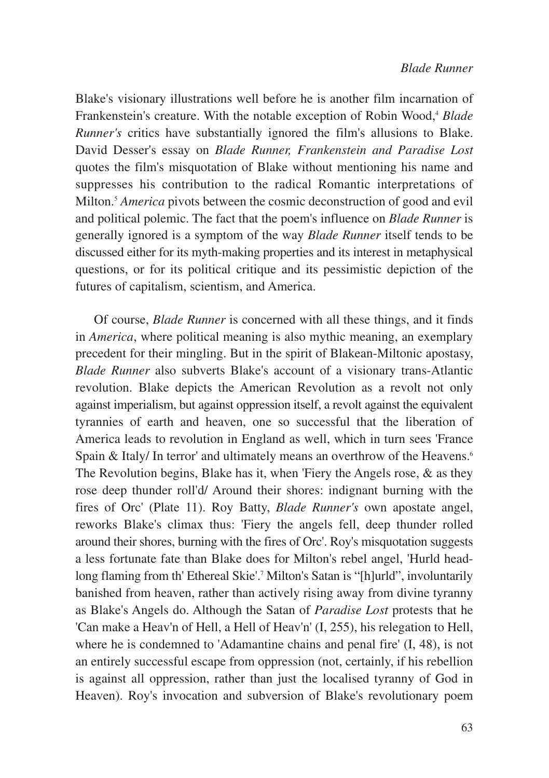Blake's visionary illustrations well before he is another film incarnation of Frankenstein's creature. With the notable exception of Robin Wood,<sup>4</sup> *Blade Runner's* critics have substantially ignored the film's allusions to Blake. David Desser's essay on *Blade Runner, Frankenstein and Paradise Lost* quotes the film's misquotation of Blake without mentioning his name and suppresses his contribution to the radical Romantic interpretations of Milton.5 *America* pivots between the cosmic deconstruction of good and evil and political polemic. The fact that the poem's influence on *Blade Runner* is generally ignored is a symptom of the way *Blade Runner* itself tends to be discussed either for its myth-making properties and its interest in metaphysical questions, or for its political critique and its pessimistic depiction of the futures of capitalism, scientism, and America.

Of course, *Blade Runner* is concerned with all these things, and it finds in *America*, where political meaning is also mythic meaning, an exemplary precedent for their mingling. But in the spirit of Blakean-Miltonic apostasy, *Blade Runner* also subverts Blake's account of a visionary trans-Atlantic revolution. Blake depicts the American Revolution as a revolt not only against imperialism, but against oppression itself, a revolt against the equivalent tyrannies of earth and heaven, one so successful that the liberation of America leads to revolution in England as well, which in turn sees 'France Spain & Italy/ In terror' and ultimately means an overthrow of the Heavens.<sup>6</sup> The Revolution begins, Blake has it, when 'Fiery the Angels rose, & as they rose deep thunder roll'd/ Around their shores: indignant burning with the fires of Orc' (Plate 11). Roy Batty, *Blade Runner's* own apostate angel, reworks Blake's climax thus: 'Fiery the angels fell, deep thunder rolled around their shores, burning with the fires of Orc'. Roy's misquotation suggests a less fortunate fate than Blake does for Milton's rebel angel, 'Hurld headlong flaming from th' Ethereal Skie'.<sup>7</sup> Milton's Satan is "[h]urld", involuntarily banished from heaven, rather than actively rising away from divine tyranny as Blake's Angels do. Although the Satan of *Paradise Lost* protests that he 'Can make a Heav'n of Hell, a Hell of Heav'n' (I, 255), his relegation to Hell, where he is condemned to 'Adamantine chains and penal fire' (I, 48), is not an entirely successful escape from oppression (not, certainly, if his rebellion is against all oppression, rather than just the localised tyranny of God in Heaven). Roy's invocation and subversion of Blake's revolutionary poem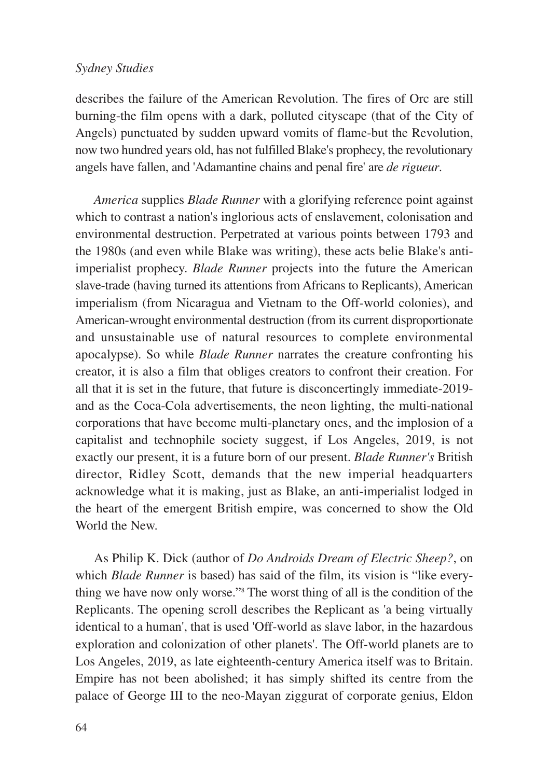describes the failure of the American Revolution. The fires of Orc are still burning-the film opens with a dark, polluted cityscape (that of the City of Angels) punctuated by sudden upward vomits of flame-but the Revolution, now two hundred years old, has not fulfilled Blake's prophecy, the revolutionary angels have fallen, and 'Adamantine chains and penal fire' are *de rigueur*.

*America* supplies *Blade Runner* with a glorifying reference point against which to contrast a nation's inglorious acts of enslavement, colonisation and environmental destruction. Perpetrated at various points between 1793 and the 1980s (and even while Blake was writing), these acts belie Blake's antiimperialist prophecy. *Blade Runner* projects into the future the American slave-trade (having turned its attentions from Africans to Replicants), American imperialism (from Nicaragua and Vietnam to the Off-world colonies), and American-wrought environmental destruction (from its current disproportionate and unsustainable use of natural resources to complete environmental apocalypse). So while *Blade Runner* narrates the creature confronting his creator, it is also a film that obliges creators to confront their creation. For all that it is set in the future, that future is disconcertingly immediate-2019 and as the Coca-Cola advertisements, the neon lighting, the multi-national corporations that have become multi-planetary ones, and the implosion of a capitalist and technophile society suggest, if Los Angeles, 2019, is not exactly our present, it is a future born of our present. *Blade Runner's* British director, Ridley Scott, demands that the new imperial headquarters acknowledge what it is making, just as Blake, an anti-imperialist lodged in the heart of the emergent British empire, was concerned to show the Old World the New.

As Philip K. Dick (author of *Do Androids Dream of Electric Sheep?*, on which *Blade Runner* is based) has said of the film, its vision is "like everything we have now only worse."8 The worst thing of all is the condition of the Replicants. The opening scroll describes the Replicant as 'a being virtually identical to a human', that is used 'Off-world as slave labor, in the hazardous exploration and colonization of other planets'. The Off-world planets are to Los Angeles, 2019, as late eighteenth-century America itself was to Britain. Empire has not been abolished; it has simply shifted its centre from the palace of George III to the neo-Mayan ziggurat of corporate genius, Eldon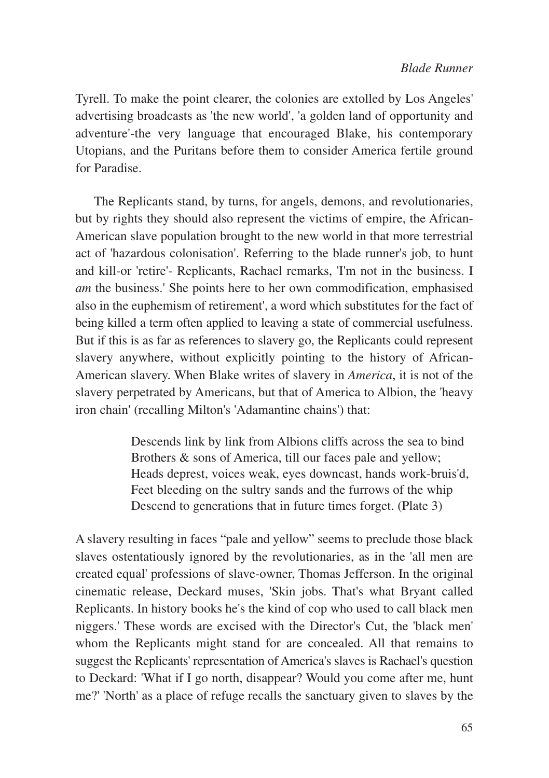Tyrell. To make the point clearer, the colonies are extolled by Los Angeles' advertising broadcasts as 'the new world', 'a golden land of opportunity and adventure'-the very language that encouraged Blake, his contemporary Utopians, and the Puritans before them to consider America fertile ground for Paradise.

The Replicants stand, by turns, for angels, demons, and revolutionaries, but by rights they should also represent the victims of empire, the African-American slave population brought to the new world in that more terrestrial act of 'hazardous colonisation'. Referring to the blade runner's job, to hunt and kill-or 'retire'- Replicants, Rachael remarks, 'I'm not in the business. I *am* the business.' She points here to her own commodification, emphasised also in the euphemism of retirement', a word which substitutes for the fact of being killed a term often applied to leaving a state of commercial usefulness. But if this is as far as references to slavery go, the Replicants could represent slavery anywhere, without explicitly pointing to the history of African-American slavery. When Blake writes of slavery in *America*, it is not of the slavery perpetrated by Americans, but that of America to Albion, the 'heavy iron chain' (recalling Milton's 'Adamantine chains') that:

> Descends link by link from Albions cliffs across the sea to bind Brothers & sons of America, till our faces pale and yellow; Heads deprest, voices weak, eyes downcast, hands work-bruis'd, Feet bleeding on the sultry sands and the furrows of the whip Descend to generations that in future times forget. (Plate 3)

A slavery resulting in faces "pale and yellow" seems to preclude those black slaves ostentatiously ignored by the revolutionaries, as in the 'all men are created equal' professions of slave-owner, Thomas Jefferson. In the original cinematic release, Deckard muses, 'Skin jobs. That's what Bryant called Replicants. In history books he's the kind of cop who used to call black men niggers.' These words are excised with the Director's Cut, the 'black men' whom the Replicants might stand for are concealed. All that remains to suggest the Replicants' representation of America's slaves is Rachael's question to Deckard: 'What if I go north, disappear? Would you come after me, hunt me?' 'North' as a place of refuge recalls the sanctuary given to slaves by the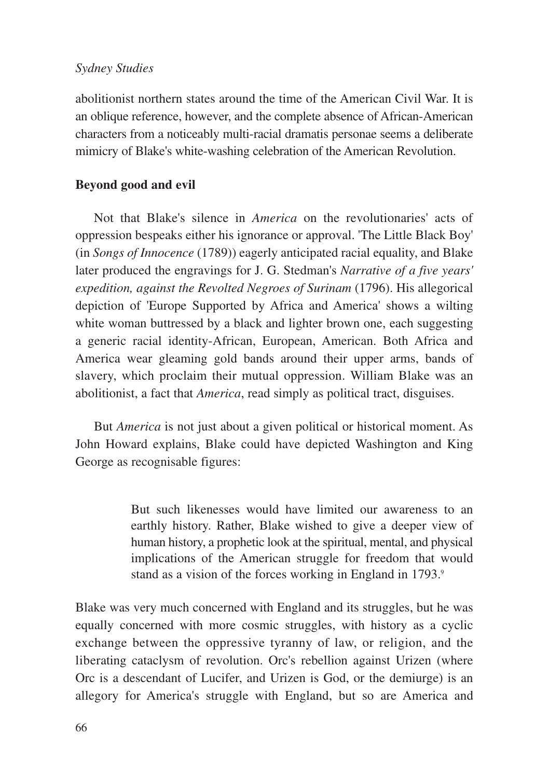abolitionist northern states around the time of the American Civil War. It is an oblique reference, however, and the complete absence of African-American characters from a noticeably multi-racial dramatis personae seems a deliberate mimicry of Blake's white-washing celebration of the American Revolution.

# **Beyond good and evil**

Not that Blake's silence in *America* on the revolutionaries' acts of oppression bespeaks either his ignorance or approval. 'The Little Black Boy' (in *Songs of Innocence* (1789)) eagerly anticipated racial equality, and Blake later produced the engravings for J. G. Stedman's *Narrative of a five years' expedition, against the Revolted Negroes of Surinam* (1796). His allegorical depiction of 'Europe Supported by Africa and America' shows a wilting white woman buttressed by a black and lighter brown one, each suggesting a generic racial identity-African, European, American. Both Africa and America wear gleaming gold bands around their upper arms, bands of slavery, which proclaim their mutual oppression. William Blake was an abolitionist, a fact that *America*, read simply as political tract, disguises.

But *America* is not just about a given political or historical moment. As John Howard explains, Blake could have depicted Washington and King George as recognisable figures:

> But such likenesses would have limited our awareness to an earthly history. Rather, Blake wished to give a deeper view of human history, a prophetic look at the spiritual, mental, and physical implications of the American struggle for freedom that would stand as a vision of the forces working in England in 1793.9

Blake was very much concerned with England and its struggles, but he was equally concerned with more cosmic struggles, with history as a cyclic exchange between the oppressive tyranny of law, or religion, and the liberating cataclysm of revolution. Orc's rebellion against Urizen (where Orc is a descendant of Lucifer, and Urizen is God, or the demiurge) is an allegory for America's struggle with England, but so are America and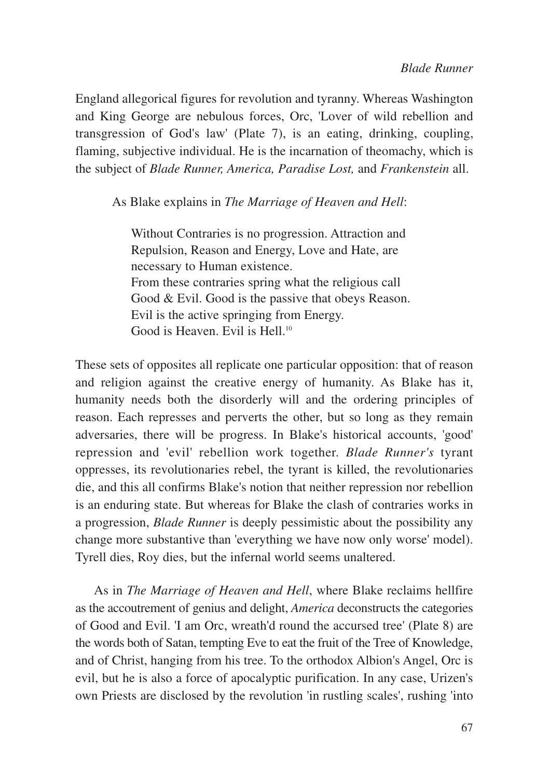England allegorical figures for revolution and tyranny. Whereas Washington and King George are nebulous forces, Orc, 'Lover of wild rebellion and transgression of God's law' (Plate 7), is an eating, drinking, coupling, flaming, subjective individual. He is the incarnation of theomachy, which is the subject of *Blade Runner, America, Paradise Lost,* and *Frankenstein* all.

As Blake explains in *The Marriage of Heaven and Hell*:

Without Contraries is no progression. Attraction and Repulsion, Reason and Energy, Love and Hate, are necessary to Human existence. From these contraries spring what the religious call Good & Evil. Good is the passive that obeys Reason. Evil is the active springing from Energy. Good is Heaven. Evil is Hell.<sup>10</sup>

These sets of opposites all replicate one particular opposition: that of reason and religion against the creative energy of humanity. As Blake has it, humanity needs both the disorderly will and the ordering principles of reason. Each represses and perverts the other, but so long as they remain adversaries, there will be progress. In Blake's historical accounts, 'good' repression and 'evil' rebellion work together. *Blade Runner's* tyrant oppresses, its revolutionaries rebel, the tyrant is killed, the revolutionaries die, and this all confirms Blake's notion that neither repression nor rebellion is an enduring state. But whereas for Blake the clash of contraries works in a progression, *Blade Runner* is deeply pessimistic about the possibility any change more substantive than 'everything we have now only worse' model). Tyrell dies, Roy dies, but the infernal world seems unaltered.

As in *The Marriage of Heaven and Hell*, where Blake reclaims hellfire as the accoutrement of genius and delight, *America* deconstructs the categories of Good and Evil. 'I am Orc, wreath'd round the accursed tree' (Plate 8) are the words both of Satan, tempting Eve to eat the fruit of the Tree of Knowledge, and of Christ, hanging from his tree. To the orthodox Albion's Angel, Orc is evil, but he is also a force of apocalyptic purification. In any case, Urizen's own Priests are disclosed by the revolution 'in rustling scales', rushing 'into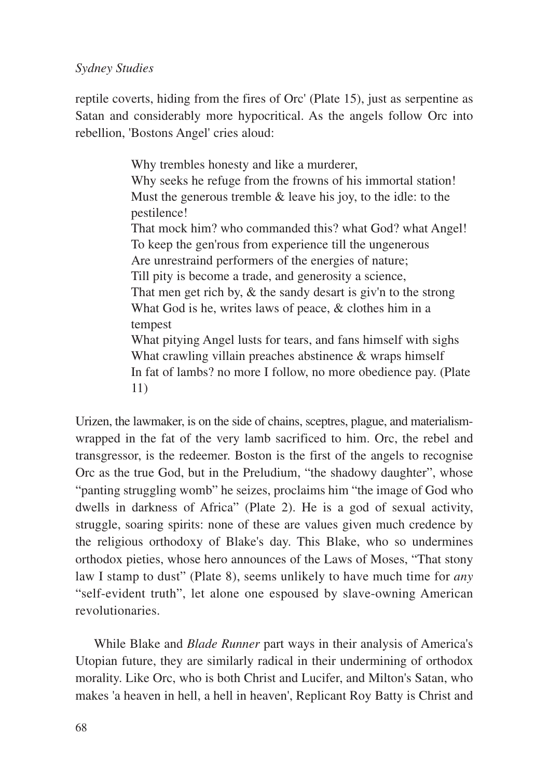reptile coverts, hiding from the fires of Orc' (Plate 15), just as serpentine as Satan and considerably more hypocritical. As the angels follow Orc into rebellion, 'Bostons Angel' cries aloud:

> Why trembles honesty and like a murderer, Why seeks he refuge from the frowns of his immortal station! Must the generous tremble  $&$  leave his joy, to the idle: to the pestilence! That mock him? who commanded this? what God? what Angel! To keep the gen'rous from experience till the ungenerous Are unrestraind performers of the energies of nature; Till pity is become a trade, and generosity a science, That men get rich by, & the sandy desart is giv'n to the strong What God is he, writes laws of peace, & clothes him in a tempest What pitying Angel lusts for tears, and fans himself with sighs What crawling villain preaches abstinence & wraps himself In fat of lambs? no more I follow, no more obedience pay. (Plate 11)

Urizen, the lawmaker, is on the side of chains, sceptres, plague, and materialismwrapped in the fat of the very lamb sacrificed to him. Orc, the rebel and transgressor, is the redeemer. Boston is the first of the angels to recognise Orc as the true God, but in the Preludium, "the shadowy daughter", whose "panting struggling womb" he seizes, proclaims him "the image of God who dwells in darkness of Africa" (Plate 2). He is a god of sexual activity, struggle, soaring spirits: none of these are values given much credence by the religious orthodoxy of Blake's day. This Blake, who so undermines orthodox pieties, whose hero announces of the Laws of Moses, "That stony law I stamp to dust" (Plate 8), seems unlikely to have much time for *any* "self-evident truth", let alone one espoused by slave-owning American revolutionaries.

While Blake and *Blade Runner* part ways in their analysis of America's Utopian future, they are similarly radical in their undermining of orthodox morality. Like Orc, who is both Christ and Lucifer, and Milton's Satan, who makes 'a heaven in hell, a hell in heaven', Replicant Roy Batty is Christ and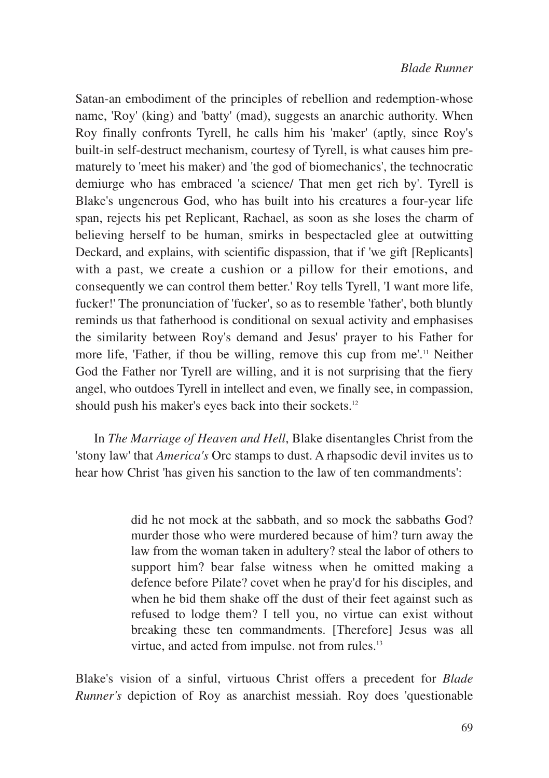Satan-an embodiment of the principles of rebellion and redemption-whose name, 'Roy' (king) and 'batty' (mad), suggests an anarchic authority. When Roy finally confronts Tyrell, he calls him his 'maker' (aptly, since Roy's built-in self-destruct mechanism, courtesy of Tyrell, is what causes him prematurely to 'meet his maker) and 'the god of biomechanics', the technocratic demiurge who has embraced 'a science/ That men get rich by'. Tyrell is Blake's ungenerous God, who has built into his creatures a four-year life span, rejects his pet Replicant, Rachael, as soon as she loses the charm of believing herself to be human, smirks in bespectacled glee at outwitting Deckard, and explains, with scientific dispassion, that if 'we gift [Replicants] with a past, we create a cushion or a pillow for their emotions, and consequently we can control them better.' Roy tells Tyrell, 'I want more life, fucker!' The pronunciation of 'fucker', so as to resemble 'father', both bluntly reminds us that fatherhood is conditional on sexual activity and emphasises the similarity between Roy's demand and Jesus' prayer to his Father for more life, 'Father, if thou be willing, remove this cup from me'.<sup>11</sup> Neither God the Father nor Tyrell are willing, and it is not surprising that the fiery angel, who outdoes Tyrell in intellect and even, we finally see, in compassion, should push his maker's eyes back into their sockets.<sup>12</sup>

In *The Marriage of Heaven and Hell*, Blake disentangles Christ from the 'stony law' that *America's* Orc stamps to dust. A rhapsodic devil invites us to hear how Christ 'has given his sanction to the law of ten commandments':

> did he not mock at the sabbath, and so mock the sabbaths God? murder those who were murdered because of him? turn away the law from the woman taken in adultery? steal the labor of others to support him? bear false witness when he omitted making a defence before Pilate? covet when he pray'd for his disciples, and when he bid them shake off the dust of their feet against such as refused to lodge them? I tell you, no virtue can exist without breaking these ten commandments. [Therefore] Jesus was all virtue, and acted from impulse, not from rules.<sup>13</sup>

Blake's vision of a sinful, virtuous Christ offers a precedent for *Blade Runner's* depiction of Roy as anarchist messiah. Roy does 'questionable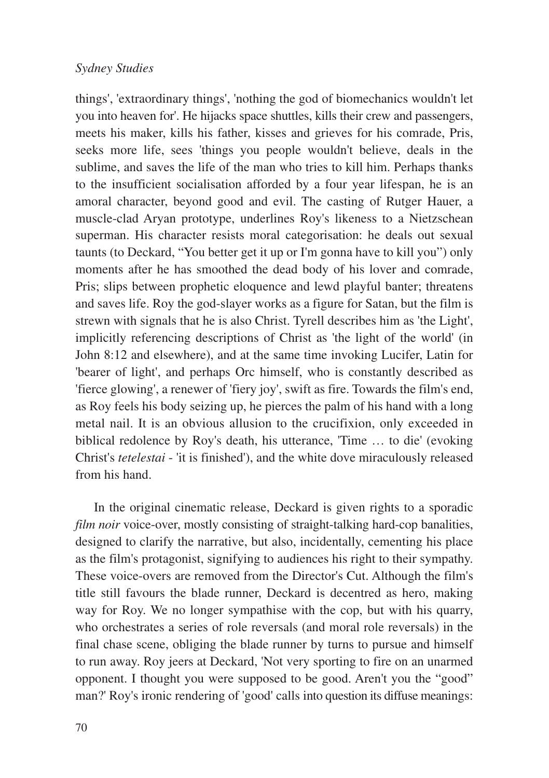things', 'extraordinary things', 'nothing the god of biomechanics wouldn't let you into heaven for'. He hijacks space shuttles, kills their crew and passengers, meets his maker, kills his father, kisses and grieves for his comrade, Pris, seeks more life, sees 'things you people wouldn't believe, deals in the sublime, and saves the life of the man who tries to kill him. Perhaps thanks to the insufficient socialisation afforded by a four year lifespan, he is an amoral character, beyond good and evil. The casting of Rutger Hauer, a muscle-clad Aryan prototype, underlines Roy's likeness to a Nietzschean superman. His character resists moral categorisation: he deals out sexual taunts (to Deckard, "You better get it up or I'm gonna have to kill you") only moments after he has smoothed the dead body of his lover and comrade, Pris; slips between prophetic eloquence and lewd playful banter; threatens and saves life. Roy the god-slayer works as a figure for Satan, but the film is strewn with signals that he is also Christ. Tyrell describes him as 'the Light', implicitly referencing descriptions of Christ as 'the light of the world' (in John 8:12 and elsewhere), and at the same time invoking Lucifer, Latin for 'bearer of light', and perhaps Orc himself, who is constantly described as 'fierce glowing', a renewer of 'fiery joy', swift as fire. Towards the film's end, as Roy feels his body seizing up, he pierces the palm of his hand with a long metal nail. It is an obvious allusion to the crucifixion, only exceeded in biblical redolence by Roy's death, his utterance, 'Time … to die' (evoking Christ's *tetelestai* - 'it is finished'), and the white dove miraculously released from his hand.

In the original cinematic release, Deckard is given rights to a sporadic *film noir* voice-over, mostly consisting of straight-talking hard-cop banalities, designed to clarify the narrative, but also, incidentally, cementing his place as the film's protagonist, signifying to audiences his right to their sympathy. These voice-overs are removed from the Director's Cut. Although the film's title still favours the blade runner, Deckard is decentred as hero, making way for Roy. We no longer sympathise with the cop, but with his quarry, who orchestrates a series of role reversals (and moral role reversals) in the final chase scene, obliging the blade runner by turns to pursue and himself to run away. Roy jeers at Deckard, 'Not very sporting to fire on an unarmed opponent. I thought you were supposed to be good. Aren't you the "good" man?' Roy's ironic rendering of 'good' calls into question its diffuse meanings: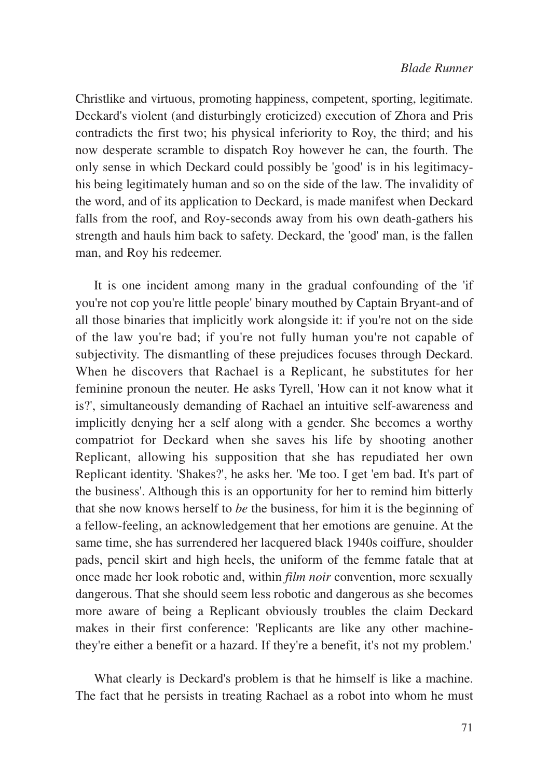Christlike and virtuous, promoting happiness, competent, sporting, legitimate. Deckard's violent (and disturbingly eroticized) execution of Zhora and Pris contradicts the first two; his physical inferiority to Roy, the third; and his now desperate scramble to dispatch Roy however he can, the fourth. The only sense in which Deckard could possibly be 'good' is in his legitimacyhis being legitimately human and so on the side of the law. The invalidity of the word, and of its application to Deckard, is made manifest when Deckard falls from the roof, and Roy-seconds away from his own death-gathers his strength and hauls him back to safety. Deckard, the 'good' man, is the fallen man, and Roy his redeemer.

It is one incident among many in the gradual confounding of the 'if you're not cop you're little people' binary mouthed by Captain Bryant-and of all those binaries that implicitly work alongside it: if you're not on the side of the law you're bad; if you're not fully human you're not capable of subjectivity. The dismantling of these prejudices focuses through Deckard. When he discovers that Rachael is a Replicant, he substitutes for her feminine pronoun the neuter. He asks Tyrell, 'How can it not know what it is?', simultaneously demanding of Rachael an intuitive self-awareness and implicitly denying her a self along with a gender. She becomes a worthy compatriot for Deckard when she saves his life by shooting another Replicant, allowing his supposition that she has repudiated her own Replicant identity. 'Shakes?', he asks her. 'Me too. I get 'em bad. It's part of the business'. Although this is an opportunity for her to remind him bitterly that she now knows herself to *be* the business, for him it is the beginning of a fellow-feeling, an acknowledgement that her emotions are genuine. At the same time, she has surrendered her lacquered black 1940s coiffure, shoulder pads, pencil skirt and high heels, the uniform of the femme fatale that at once made her look robotic and, within *film noir* convention, more sexually dangerous. That she should seem less robotic and dangerous as she becomes more aware of being a Replicant obviously troubles the claim Deckard makes in their first conference: 'Replicants are like any other machinethey're either a benefit or a hazard. If they're a benefit, it's not my problem.'

What clearly is Deckard's problem is that he himself is like a machine. The fact that he persists in treating Rachael as a robot into whom he must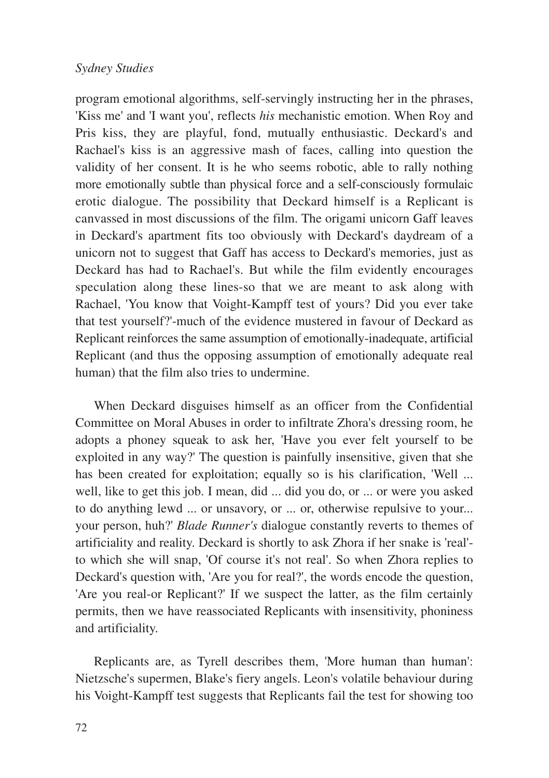program emotional algorithms, self-servingly instructing her in the phrases, 'Kiss me' and 'I want you', reflects *his* mechanistic emotion. When Roy and Pris kiss, they are playful, fond, mutually enthusiastic. Deckard's and Rachael's kiss is an aggressive mash of faces, calling into question the validity of her consent. It is he who seems robotic, able to rally nothing more emotionally subtle than physical force and a self-consciously formulaic erotic dialogue. The possibility that Deckard himself is a Replicant is canvassed in most discussions of the film. The origami unicorn Gaff leaves in Deckard's apartment fits too obviously with Deckard's daydream of a unicorn not to suggest that Gaff has access to Deckard's memories, just as Deckard has had to Rachael's. But while the film evidently encourages speculation along these lines-so that we are meant to ask along with Rachael, 'You know that Voight-Kampff test of yours? Did you ever take that test yourself?'-much of the evidence mustered in favour of Deckard as Replicant reinforces the same assumption of emotionally-inadequate, artificial Replicant (and thus the opposing assumption of emotionally adequate real human) that the film also tries to undermine.

When Deckard disguises himself as an officer from the Confidential Committee on Moral Abuses in order to infiltrate Zhora's dressing room, he adopts a phoney squeak to ask her, 'Have you ever felt yourself to be exploited in any way?' The question is painfully insensitive, given that she has been created for exploitation; equally so is his clarification, 'Well ... well, like to get this job. I mean, did ... did you do, or ... or were you asked to do anything lewd ... or unsavory, or ... or, otherwise repulsive to your... your person, huh?' *Blade Runner's* dialogue constantly reverts to themes of artificiality and reality. Deckard is shortly to ask Zhora if her snake is 'real' to which she will snap, 'Of course it's not real'. So when Zhora replies to Deckard's question with, 'Are you for real?', the words encode the question, 'Are you real-or Replicant?' If we suspect the latter, as the film certainly permits, then we have reassociated Replicants with insensitivity, phoniness and artificiality.

Replicants are, as Tyrell describes them, 'More human than human': Nietzsche's supermen, Blake's fiery angels. Leon's volatile behaviour during his Voight-Kampff test suggests that Replicants fail the test for showing too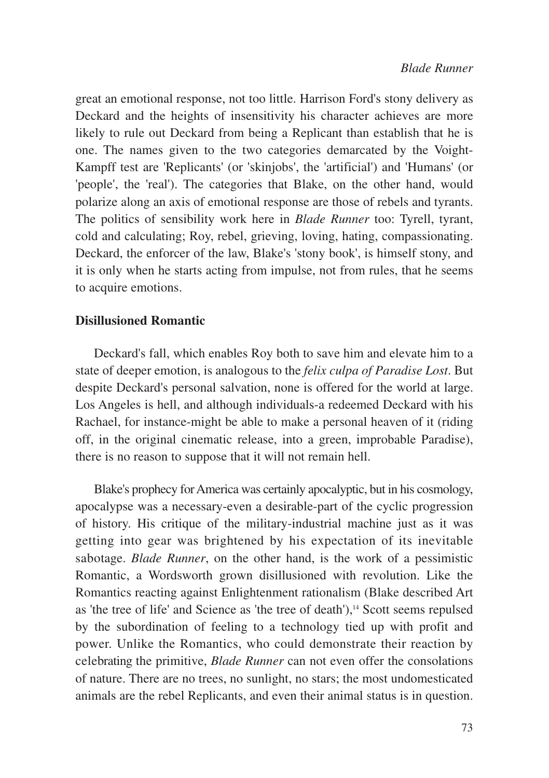great an emotional response, not too little. Harrison Ford's stony delivery as Deckard and the heights of insensitivity his character achieves are more likely to rule out Deckard from being a Replicant than establish that he is one. The names given to the two categories demarcated by the Voight-Kampff test are 'Replicants' (or 'skinjobs', the 'artificial') and 'Humans' (or 'people', the 'real'). The categories that Blake, on the other hand, would polarize along an axis of emotional response are those of rebels and tyrants. The politics of sensibility work here in *Blade Runner* too: Tyrell, tyrant, cold and calculating; Roy, rebel, grieving, loving, hating, compassionating. Deckard, the enforcer of the law, Blake's 'stony book', is himself stony, and it is only when he starts acting from impulse, not from rules, that he seems to acquire emotions.

#### **Disillusioned Romantic**

Deckard's fall, which enables Roy both to save him and elevate him to a state of deeper emotion, is analogous to the *felix culpa of Paradise Lost*. But despite Deckard's personal salvation, none is offered for the world at large. Los Angeles is hell, and although individuals-a redeemed Deckard with his Rachael, for instance-might be able to make a personal heaven of it (riding off, in the original cinematic release, into a green, improbable Paradise), there is no reason to suppose that it will not remain hell.

Blake's prophecy for America was certainly apocalyptic, but in his cosmology, apocalypse was a necessary-even a desirable-part of the cyclic progression of history. His critique of the military-industrial machine just as it was getting into gear was brightened by his expectation of its inevitable sabotage. *Blade Runner*, on the other hand, is the work of a pessimistic Romantic, a Wordsworth grown disillusioned with revolution. Like the Romantics reacting against Enlightenment rationalism (Blake described Art as 'the tree of life' and Science as 'the tree of death'),<sup>14</sup> Scott seems repulsed by the subordination of feeling to a technology tied up with profit and power. Unlike the Romantics, who could demonstrate their reaction by celebrating the primitive, *Blade Runner* can not even offer the consolations of nature. There are no trees, no sunlight, no stars; the most undomesticated animals are the rebel Replicants, and even their animal status is in question.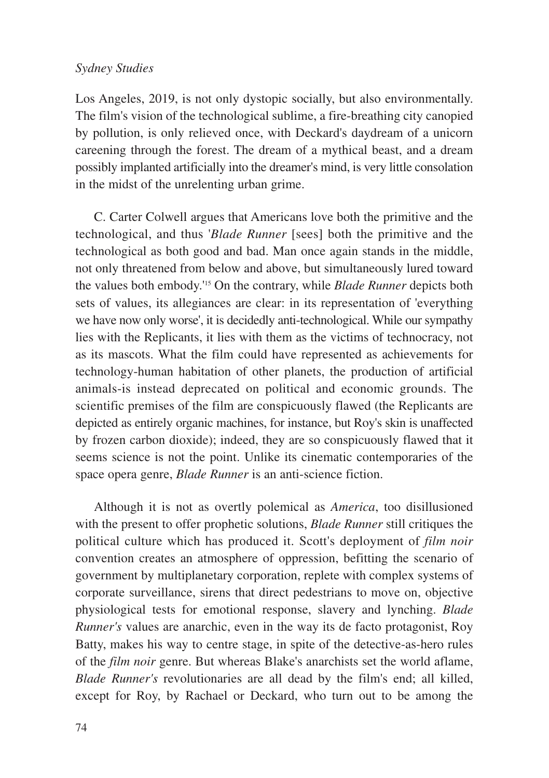Los Angeles, 2019, is not only dystopic socially, but also environmentally. The film's vision of the technological sublime, a fire-breathing city canopied by pollution, is only relieved once, with Deckard's daydream of a unicorn careening through the forest. The dream of a mythical beast, and a dream possibly implanted artificially into the dreamer's mind, is very little consolation in the midst of the unrelenting urban grime.

C. Carter Colwell argues that Americans love both the primitive and the technological, and thus '*Blade Runner* [sees] both the primitive and the technological as both good and bad. Man once again stands in the middle, not only threatened from below and above, but simultaneously lured toward the values both embody.'15 On the contrary, while *Blade Runner* depicts both sets of values, its allegiances are clear: in its representation of 'everything we have now only worse', it is decidedly anti-technological. While our sympathy lies with the Replicants, it lies with them as the victims of technocracy, not as its mascots. What the film could have represented as achievements for technology-human habitation of other planets, the production of artificial animals-is instead deprecated on political and economic grounds. The scientific premises of the film are conspicuously flawed (the Replicants are depicted as entirely organic machines, for instance, but Roy's skin is unaffected by frozen carbon dioxide); indeed, they are so conspicuously flawed that it seems science is not the point. Unlike its cinematic contemporaries of the space opera genre, *Blade Runner* is an anti-science fiction.

Although it is not as overtly polemical as *America*, too disillusioned with the present to offer prophetic solutions, *Blade Runner* still critiques the political culture which has produced it. Scott's deployment of *film noir* convention creates an atmosphere of oppression, befitting the scenario of government by multiplanetary corporation, replete with complex systems of corporate surveillance, sirens that direct pedestrians to move on, objective physiological tests for emotional response, slavery and lynching. *Blade Runner's* values are anarchic, even in the way its de facto protagonist, Roy Batty, makes his way to centre stage, in spite of the detective-as-hero rules of the *film noir* genre. But whereas Blake's anarchists set the world aflame, *Blade Runner's* revolutionaries are all dead by the film's end; all killed, except for Roy, by Rachael or Deckard, who turn out to be among the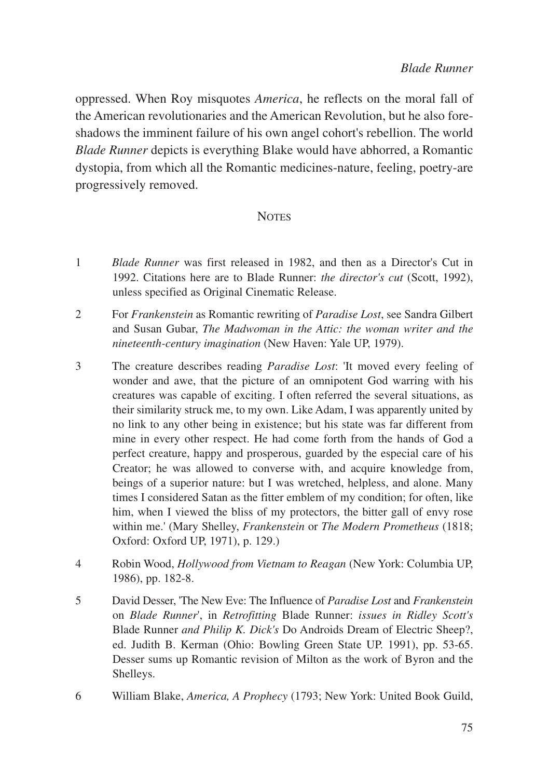oppressed. When Roy misquotes *America*, he reflects on the moral fall of the American revolutionaries and the American Revolution, but he also foreshadows the imminent failure of his own angel cohort's rebellion. The world *Blade Runner* depicts is everything Blake would have abhorred, a Romantic dystopia, from which all the Romantic medicines-nature, feeling, poetry-are progressively removed.

# **NOTES**

- 1 *Blade Runner* was first released in 1982, and then as a Director's Cut in 1992. Citations here are to Blade Runner: *the director's cut* (Scott, 1992), unless specified as Original Cinematic Release.
- 2 For *Frankenstein* as Romantic rewriting of *Paradise Lost*, see Sandra Gilbert and Susan Gubar, *The Madwoman in the Attic: the woman writer and the nineteenth-century imagination* (New Haven: Yale UP, 1979).
- 3 The creature describes reading *Paradise Lost*: 'It moved every feeling of wonder and awe, that the picture of an omnipotent God warring with his creatures was capable of exciting. I often referred the several situations, as their similarity struck me, to my own. Like Adam, I was apparently united by no link to any other being in existence; but his state was far different from mine in every other respect. He had come forth from the hands of God a perfect creature, happy and prosperous, guarded by the especial care of his Creator; he was allowed to converse with, and acquire knowledge from, beings of a superior nature: but I was wretched, helpless, and alone. Many times I considered Satan as the fitter emblem of my condition; for often, like him, when I viewed the bliss of my protectors, the bitter gall of envy rose within me.' (Mary Shelley, *Frankenstein* or *The Modern Prometheus* (1818; Oxford: Oxford UP, 1971), p. 129.)
- 4 Robin Wood, *Hollywood from Vietnam to Reagan* (New York: Columbia UP, 1986), pp. 182-8.
- 5 David Desser, 'The New Eve: The Influence of *Paradise Lost* and *Frankenstein* on *Blade Runner*', in *Retrofitting* Blade Runner: *issues in Ridley Scott's* Blade Runner *and Philip K. Dick's* Do Androids Dream of Electric Sheep?, ed. Judith B. Kerman (Ohio: Bowling Green State UP. 1991), pp. 53-65. Desser sums up Romantic revision of Milton as the work of Byron and the Shelleys.
- 6 William Blake, *America, A Prophecy* (1793; New York: United Book Guild,